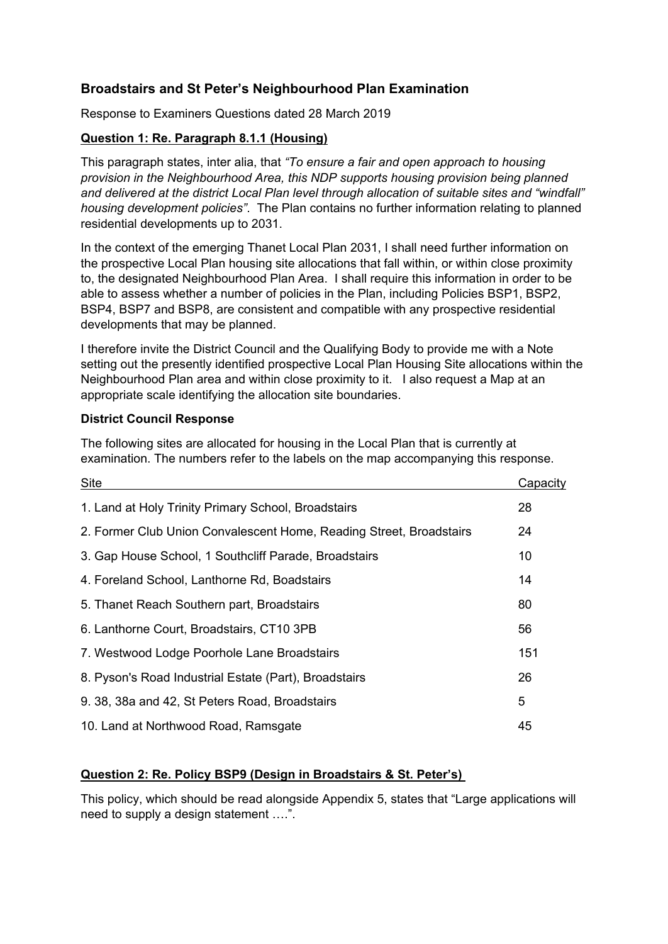# **Broadstairs and St Peter's Neighbourhood Plan Examination**

Response to Examiners Questions dated 28 March 2019

# **Question 1: Re. Paragraph 8.1.1 (Housing)**

This paragraph states, inter alia, that *"To ensure a fair and open approach to housing provision in the Neighbourhood Area, this NDP supports housing provision being planned and delivered at the district Local Plan level through allocation of suitable sites and "windfall" housing development policies"*. The Plan contains no further information relating to planned residential developments up to 2031.

In the context of the emerging Thanet Local Plan 2031, I shall need further information on the prospective Local Plan housing site allocations that fall within, or within close proximity to, the designated Neighbourhood Plan Area. I shall require this information in order to be able to assess whether a number of policies in the Plan, including Policies BSP1, BSP2, BSP4, BSP7 and BSP8, are consistent and compatible with any prospective residential developments that may be planned.

I therefore invite the District Council and the Qualifying Body to provide me with a Note setting out the presently identified prospective Local Plan Housing Site allocations within the Neighbourhood Plan area and within close proximity to it. I also request a Map at an appropriate scale identifying the allocation site boundaries.

### **District Council Response**

The following sites are allocated for housing in the Local Plan that is currently at examination. The numbers refer to the labels on the map accompanying this response.

| Site                                                                | Capacity |
|---------------------------------------------------------------------|----------|
| 1. Land at Holy Trinity Primary School, Broadstairs                 | 28       |
| 2. Former Club Union Convalescent Home, Reading Street, Broadstairs | 24       |
| 3. Gap House School, 1 Southcliff Parade, Broadstairs               | 10       |
| 4. Foreland School, Lanthorne Rd, Boadstairs                        | 14       |
| 5. Thanet Reach Southern part, Broadstairs                          | 80       |
| 6. Lanthorne Court, Broadstairs, CT10 3PB                           | 56       |
| 7. Westwood Lodge Poorhole Lane Broadstairs                         | 151      |
| 8. Pyson's Road Industrial Estate (Part), Broadstairs               | 26       |
| 9. 38, 38a and 42, St Peters Road, Broadstairs                      | 5        |
| 10. Land at Northwood Road, Ramsgate                                | 45       |

# **Question 2: Re. Policy BSP9 (Design in Broadstairs & St. Peter's)**

This policy, which should be read alongside Appendix 5, states that "Large applications will need to supply a design statement ….".